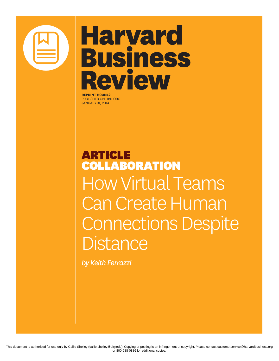

# **Harvard Business Review**

**REPRINT H00NL2** PUBLISHED ON HBR.ORG JANUARY 31, 2014

ARTICLE COLLABORATION How Virtual Teams Can Create Human Connections Despite **Distance** 

*by Keith Ferrazzi*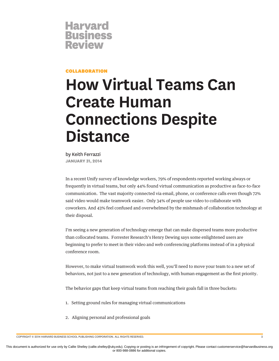

### COLLABORATION

## **How Virtual Teams Can Create Human Connections Despite Distance**

by Keith Ferrazzi **JANUARY 31, 2014**

In a recent Unify survey of knowledge workers, 79% of respondents reported working always or frequently in virtual teams, but only 44% found virtual communication as productive as face-to-face communication. The vast majority connected via email, phone, or conference calls even though 72% said video would make teamwork easier. Only 34% of people use video to collaborate with coworkers. And 43% feel confused and overwhelmed by the mishmash of collaboration technology at their disposal.

I'm seeing a new generation of technology emerge that can make dispersed teams more productive than collocated teams. Forrester Research's Henry Dewing says some enlightened users are beginning to prefer to meet in their video and web conferencing platforms instead of in a physical conference room.

However, to make virtual teamwork work this well, you'll need to move your team to a new set of behaviors, not just to a new generation of technology, with human engagement as the first priority.

The behavior gaps that keep virtual teams from reaching their goals fall in three buckets:

- 1. Setting ground rules for managing virtual communications
- 2. Aligning personal and professional goals

COPYRIGHT © 2014 HARVARD BUSINESS SCHOOL PUBLISHING CORPORATION. ALL RIGHTS RESERVED. 2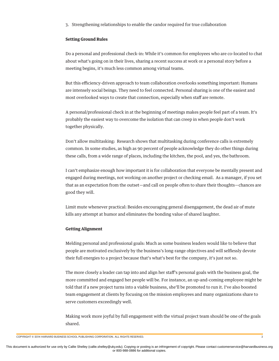3. Strengthening relationships to enable the candor required for true collaboration

#### **Setting Ground Rules**

Do a personal and professional check-in: While it's common for employees who are co-located to chat about what's going on in their lives, sharing a recent success at work or a personal story before a meeting begins, it's much less common among virtual teams.

But this efficiency-driven approach to team collaboration overlooks something important: Humans are intensely social beings. They need to feel connected. Personal sharing is one of the easiest and most overlooked ways to create that connection, especially when staff are remote.

A personal/professional check in at the beginning of meetings makes people feel part of a team. It's probably the easiest way to overcome the isolation that can creep in when people don't work together physically.

Don't allow multitasking: Research shows that multitasking during conference calls is extremely common. In some studies, as high as 90 percent of people acknowledge they do other things during these calls, from a wide range of places, including the kitchen, the pool, and yes, the bathroom.

I can't emphasize enough how important it is for collaboration that everyone be mentally present and engaged during meetings, not working on another project or checking email. As a manager, if you set that as an expectation from the outset—and call on people often to share their thoughts—chances are good they will.

Limit mute whenever practical: Besides encouraging general disengagement, the dead air of mute kills any attempt at humor and eliminates the bonding value of shared laughter.

#### **Getting Alignment**

Melding personal and professional goals: Much as some business leaders would like to believe that people are motivated exclusively by the business's long-range objectives and will selflessly devote their full energies to a project because that's what's best for the company, it's just not so.

The more closely a leader can tap into and align her staff's personal goals with the business goal, the more committed and engaged her people will be. For instance, an up-and-coming employee might be told that if a new project turns into a viable business, she'll be promoted to run it. I've also boosted team engagement at clients by focusing on the mission employees and many organizations share to serve customers exceedingly well.

Making work more joyful by full engagement with the virtual project team should be one of the goals shared.

COPYRIGHT © 2014 HARVARD BUSINESS SCHOOL PUBLISHING CORPORATION. ALL RIGHTS RESERVED. 3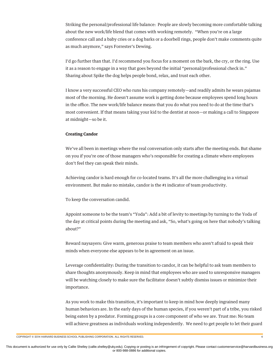Striking the personal/professional life balance: People are slowly becoming more comfortable talking about the new work/life blend that comes with working remotely. "When you're on a large conference call and a baby cries or a dog barks or a doorbell rings, people don't make comments quite as much anymore," says Forrester's Dewing.

I'd go further than that. I'd recommend you focus for a moment on the bark, the cry, or the ring. Use it as a reason to engage in a way that goes beyond the initial "personal/professional check in." Sharing about Spike the dog helps people bond, relax, and trust each other.

I know a very successful CEO who runs his company remotely—and readily admits he wears pajamas most of the morning. He doesn't assume work is getting done because employees spend long hours in the office. The new work/life balance means that you do what you need to do at the time that's most convenient. If that means taking your kid to the dentist at noon—or making a call to Singapore at midnight—so be it.

#### **Creating Candor**

We've all been in meetings where the real conversation only starts after the meeting ends. But shame on you if you're one of those managers who's responsible for creating a climate where employees don't feel they can speak their minds.

Achieving candor is hard enough for co-located teams. It's all the more challenging in a virtual environment. But make no mistake, candor is the #1 indicator of team productivity.

To keep the conversation candid.

Appoint someone to be the team's "Yoda": Add a bit of levity to meetings by turning to the Yoda of the day at critical points during the meeting and ask, "So, what's going on here that nobody's talking about?"

Reward naysayers: Give warm, generous praise to team members who aren't afraid to speak their minds when everyone else appears to be in agreement on an issue.

Leverage confidentiality: During the transition to candor, it can be helpful to ask team members to share thoughts anonymously. Keep in mind that employees who are used to unresponsive managers will be watching closely to make sure the facilitator doesn't subtly dismiss issues or minimize their importance.

As you work to make this transition, it's important to keep in mind how deeply ingrained many human behaviors are. In the early days of the human species, if you weren't part of a tribe, you risked being eaten by a predator. Forming groups is a core component of who we are. Trust me: No team will achieve greatness as individuals working independently. We need to get people to let their guard

COPYRIGHT © 2014 HARVARD BUSINESS SCHOOL PUBLISHING CORPORATION. ALL RIGHTS RESERVED. 4